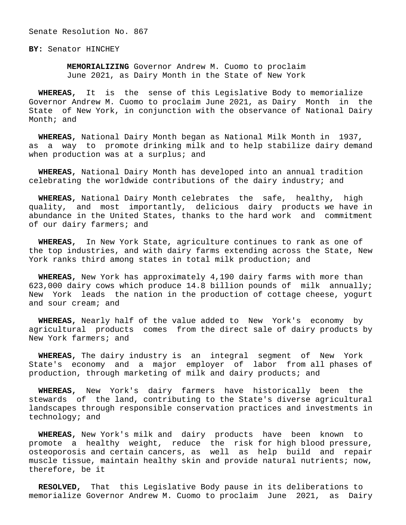Senate Resolution No. 867

**BY:** Senator HINCHEY

 **MEMORIALIZING** Governor Andrew M. Cuomo to proclaim June 2021, as Dairy Month in the State of New York

 **WHEREAS,** It is the sense of this Legislative Body to memorialize Governor Andrew M. Cuomo to proclaim June 2021, as Dairy Month in the State of New York, in conjunction with the observance of National Dairy Month; and

 **WHEREAS,** National Dairy Month began as National Milk Month in 1937, as a way to promote drinking milk and to help stabilize dairy demand when production was at a surplus; and

 **WHEREAS,** National Dairy Month has developed into an annual tradition celebrating the worldwide contributions of the dairy industry; and

 **WHEREAS,** National Dairy Month celebrates the safe, healthy, high quality, and most importantly, delicious dairy products we have in abundance in the United States, thanks to the hard work and commitment of our dairy farmers; and

 **WHEREAS,** In New York State, agriculture continues to rank as one of the top industries, and with dairy farms extending across the State, New York ranks third among states in total milk production; and

 **WHEREAS,** New York has approximately 4,190 dairy farms with more than 623,000 dairy cows which produce 14.8 billion pounds of milk annually; New York leads the nation in the production of cottage cheese, yogurt and sour cream; and

 **WHEREAS,** Nearly half of the value added to New York's economy by agricultural products comes from the direct sale of dairy products by New York farmers; and

 **WHEREAS,** The dairy industry is an integral segment of New York State's economy and a major employer of labor from all phases of production, through marketing of milk and dairy products; and

 **WHEREAS,** New York's dairy farmers have historically been the stewards of the land, contributing to the State's diverse agricultural landscapes through responsible conservation practices and investments in technology; and

 **WHEREAS,** New York's milk and dairy products have been known to promote a healthy weight, reduce the risk for high blood pressure, osteoporosis and certain cancers, as well as help build and repair muscle tissue, maintain healthy skin and provide natural nutrients; now, therefore, be it

 **RESOLVED,** That this Legislative Body pause in its deliberations to memorialize Governor Andrew M. Cuomo to proclaim June 2021, as Dairy